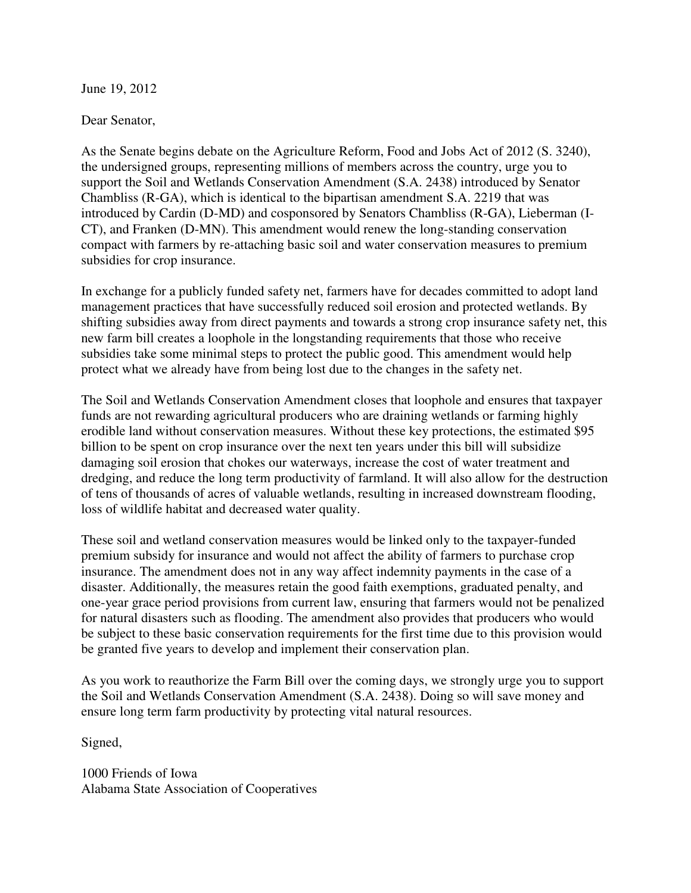June 19, 2012

Dear Senator,

As the Senate begins debate on the Agriculture Reform, Food and Jobs Act of 2012 (S. 3240), the undersigned groups, representing millions of members across the country, urge you to support the Soil and Wetlands Conservation Amendment (S.A. 2438) introduced by Senator Chambliss (R-GA), which is identical to the bipartisan amendment S.A. 2219 that was introduced by Cardin (D-MD) and cosponsored by Senators Chambliss (R-GA), Lieberman (I-CT), and Franken (D-MN). This amendment would renew the long-standing conservation compact with farmers by re-attaching basic soil and water conservation measures to premium subsidies for crop insurance.

In exchange for a publicly funded safety net, farmers have for decades committed to adopt land management practices that have successfully reduced soil erosion and protected wetlands. By shifting subsidies away from direct payments and towards a strong crop insurance safety net, this new farm bill creates a loophole in the longstanding requirements that those who receive subsidies take some minimal steps to protect the public good. This amendment would help protect what we already have from being lost due to the changes in the safety net.

The Soil and Wetlands Conservation Amendment closes that loophole and ensures that taxpayer funds are not rewarding agricultural producers who are draining wetlands or farming highly erodible land without conservation measures. Without these key protections, the estimated \$95 billion to be spent on crop insurance over the next ten years under this bill will subsidize damaging soil erosion that chokes our waterways, increase the cost of water treatment and dredging, and reduce the long term productivity of farmland. It will also allow for the destruction of tens of thousands of acres of valuable wetlands, resulting in increased downstream flooding, loss of wildlife habitat and decreased water quality.

These soil and wetland conservation measures would be linked only to the taxpayer-funded premium subsidy for insurance and would not affect the ability of farmers to purchase crop insurance. The amendment does not in any way affect indemnity payments in the case of a disaster. Additionally, the measures retain the good faith exemptions, graduated penalty, and one-year grace period provisions from current law, ensuring that farmers would not be penalized for natural disasters such as flooding. The amendment also provides that producers who would be subject to these basic conservation requirements for the first time due to this provision would be granted five years to develop and implement their conservation plan.

As you work to reauthorize the Farm Bill over the coming days, we strongly urge you to support the Soil and Wetlands Conservation Amendment (S.A. 2438). Doing so will save money and ensure long term farm productivity by protecting vital natural resources.

Signed,

1000 Friends of Iowa Alabama State Association of Cooperatives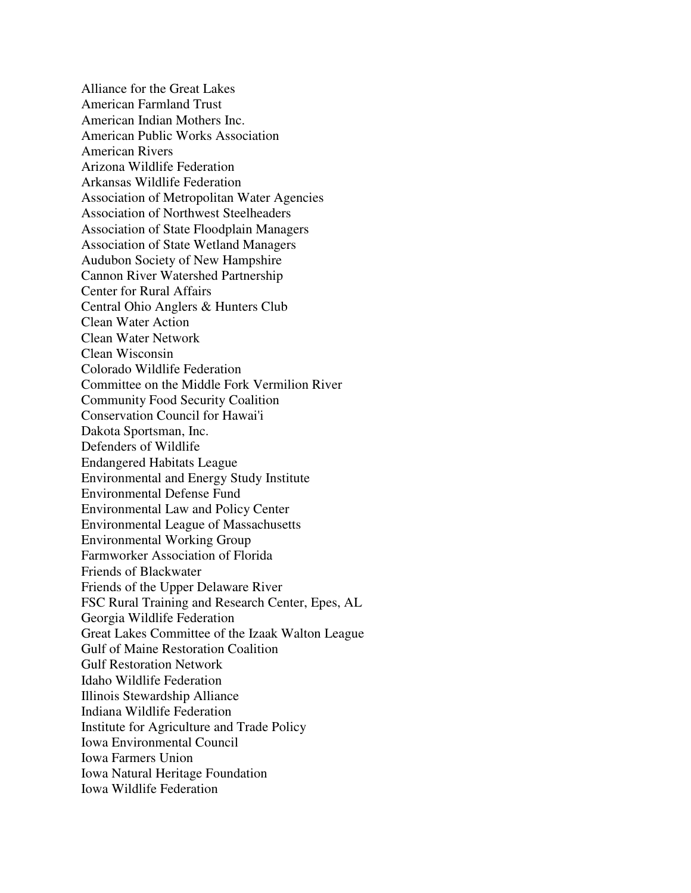Alliance for the Great Lakes American Farmland Trust American Indian Mothers Inc. American Public Works Association American Rivers Arizona Wildlife Federation Arkansas Wildlife Federation Association of Metropolitan Water Agencies Association of Northwest Steelheaders Association of State Floodplain Managers Association of State Wetland Managers Audubon Society of New Hampshire Cannon River Watershed Partnership Center for Rural Affairs Central Ohio Anglers & Hunters Club Clean Water Action Clean Water Network Clean Wisconsin Colorado Wildlife Federation Committee on the Middle Fork Vermilion River Community Food Security Coalition Conservation Council for Hawai'i Dakota Sportsman, Inc. Defenders of Wildlife Endangered Habitats League Environmental and Energy Study Institute Environmental Defense Fund Environmental Law and Policy Center Environmental League of Massachusetts Environmental Working Group Farmworker Association of Florida Friends of Blackwater Friends of the Upper Delaware River FSC Rural Training and Research Center, Epes, AL Georgia Wildlife Federation Great Lakes Committee of the Izaak Walton League Gulf of Maine Restoration Coalition Gulf Restoration Network Idaho Wildlife Federation Illinois Stewardship Alliance Indiana Wildlife Federation Institute for Agriculture and Trade Policy Iowa Environmental Council Iowa Farmers Union Iowa Natural Heritage Foundation Iowa Wildlife Federation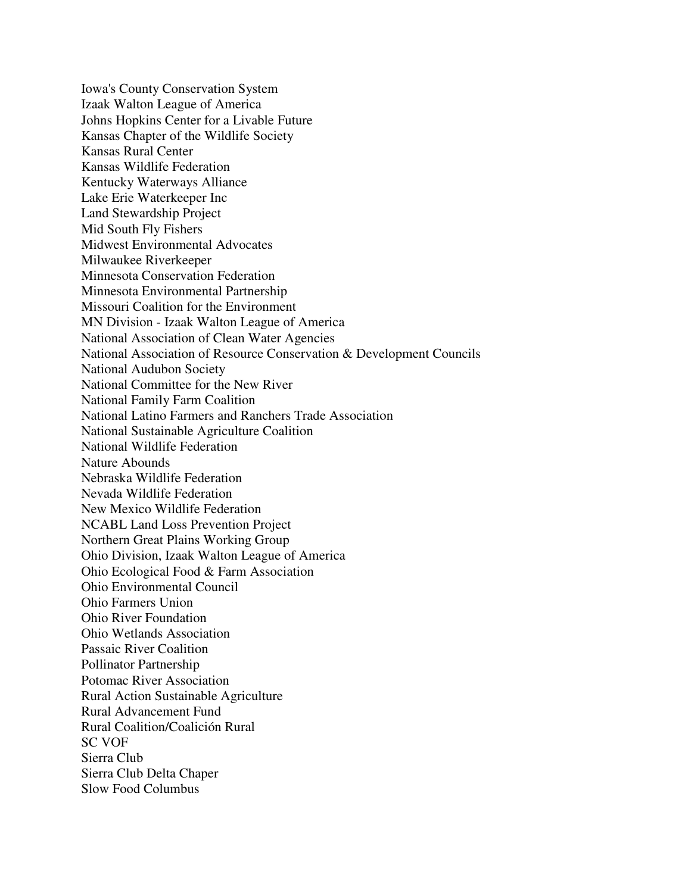Iowa's County Conservation System Izaak Walton League of America Johns Hopkins Center for a Livable Future Kansas Chapter of the Wildlife Society Kansas Rural Center Kansas Wildlife Federation Kentucky Waterways Alliance Lake Erie Waterkeeper Inc Land Stewardship Project Mid South Fly Fishers Midwest Environmental Advocates Milwaukee Riverkeeper Minnesota Conservation Federation Minnesota Environmental Partnership Missouri Coalition for the Environment MN Division - Izaak Walton League of America National Association of Clean Water Agencies National Association of Resource Conservation & Development Councils National Audubon Society National Committee for the New River National Family Farm Coalition National Latino Farmers and Ranchers Trade Association National Sustainable Agriculture Coalition National Wildlife Federation Nature Abounds Nebraska Wildlife Federation Nevada Wildlife Federation New Mexico Wildlife Federation NCABL Land Loss Prevention Project Northern Great Plains Working Group Ohio Division, Izaak Walton League of America Ohio Ecological Food & Farm Association Ohio Environmental Council Ohio Farmers Union Ohio River Foundation Ohio Wetlands Association Passaic River Coalition Pollinator Partnership Potomac River Association Rural Action Sustainable Agriculture Rural Advancement Fund Rural Coalition/Coalición Rural SC VOF Sierra Club Sierra Club Delta Chaper Slow Food Columbus